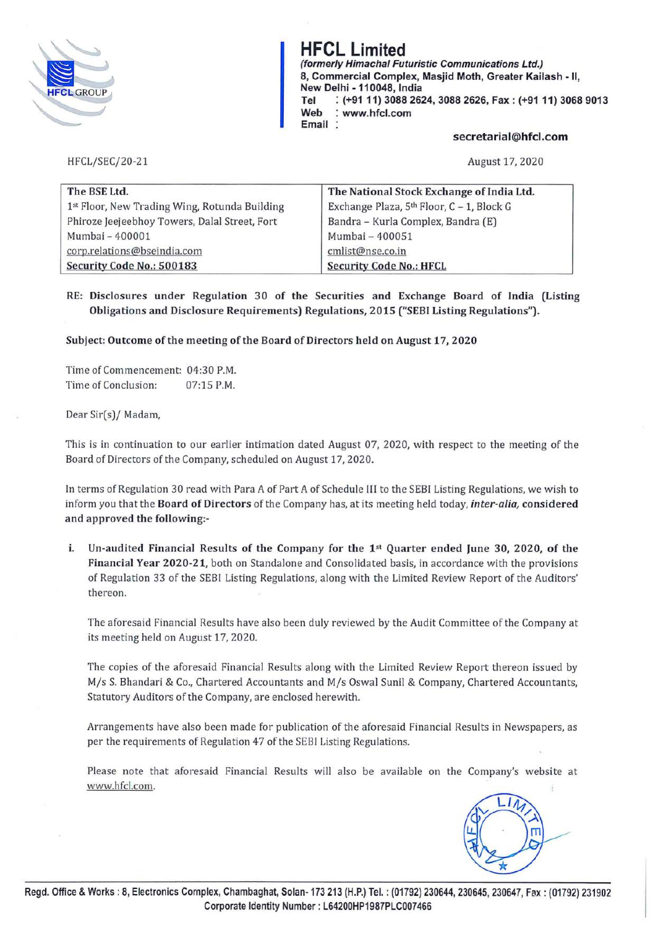

# **HFCL Limited**

**(formerly Himachal Futuristic Communications Ltd.) 8, Commercial Complex, Masjid Moth, Greater Kailash** - II, **New Delhi** - **110048, India Tel** : **(+9111) 3088 2624, 3088 2626, Fax: (+9111) 3068 9013 Web** : **www.hfcl.com Email** 

#### **secretarial@hfcl.com**

HFCL/SEC/20-21

August 17, 2020

| The BSE Ltd.                                  | The National Stock Exchange of India Ltd. |
|-----------------------------------------------|-------------------------------------------|
| 1st Floor, New Trading Wing, Rotunda Building | Exchange Plaza, 5th Floor, C - 1, Block G |
| Phiroze Jeejeebhoy Towers, Dalal Street, Fort | Bandra - Kurla Complex, Bandra (E)        |
| Mumbai - 400001                               | Mumbai - 400051                           |
| corp.relations@bseindia.com                   | cmlist@nse.co.in                          |
| Security Code No.: 500183                     | <b>Security Code No.: HFCL</b>            |

## **RE: Disclosures under Regulation 30 of the Securities and Exchange Board of India (Listing Obligations and Disclosure Requirements) Regulations, 2015 ("SEBI Listing Regulations").**

#### **Subject: Outcome of the meeting of the Board of Directors held on August 17, 2020**

Time of Commencement: 04:30 P.M. Time of Conclusion: 07:15 P.M.

Dear Sir(s)/ Madam,

This is in continuation to our earlier intimation dated August 07, 2020, with respect to the meeting of the Board of Directors of the Company, scheduled on August 17, 2020.

In terms of Regulation 30 read with Para *A* of Part *A* of Schedule III to the SEBI Listing Regulations, we wish to inform you that the **Board of Directors** of the Company has, at its meeting held today, *inter-alia*, *considered* **and approved the following:-**

i. **Un-audited Financial Results of the Company for the 1 st Quarter ended June 30, 2020, of the**  Financial Year 2020-21, both on Standalone and Consolidated basis, in accordance with the provisions of Regulation 33 of the SEBI Listing Regulations, along with the Limited Review Report of the Auditors' thereon.

The aforesaid Financial Results have also been duly reviewed by the Audit Committee of the Company at its meeting held on August 17, 2020.

The copies of the aforesaid Financial Results along with the Limited Review Report thereon issued by M/s S. Bhandari & Co., Chartered Accountants and M/s Oswal Sunil & Company, Chartered Accountants, Statutory Auditors of the Company, are enclosed herewith.

Arrangements have also been made for publication of the aforesaid Financial Results in Newspapers, as per the requirements of Regulation 47 of the SEBI Listing Regulations.

Please note that aforesaid Financial Results will also be available on the Company's website at www.hfcl.com.

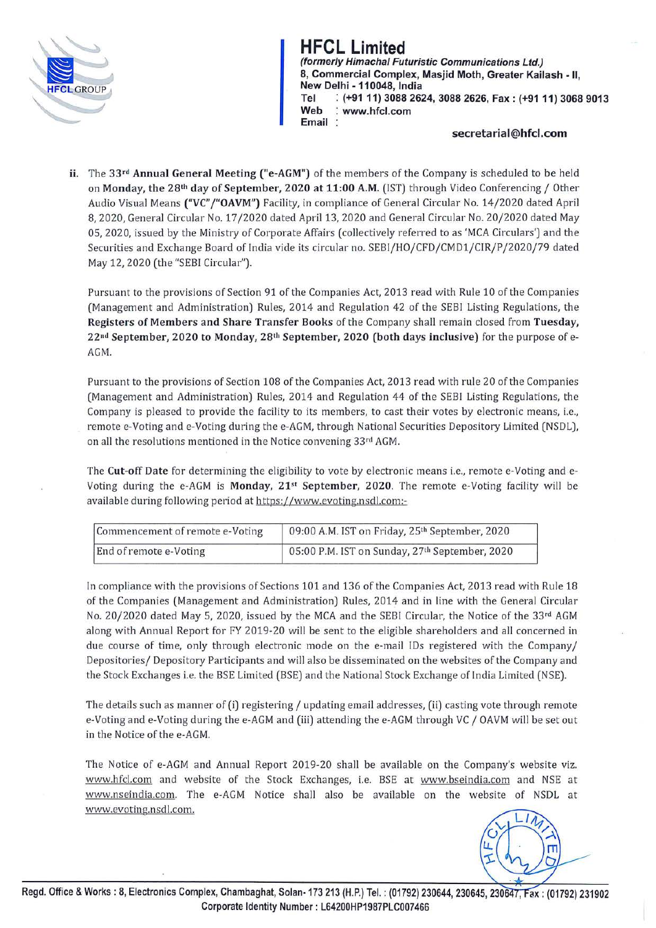

# <u>Limited</u>

**(formerly Himachal Futuristic Communications Ltd.) 8, Commercial Complex, Masjid Moth, Greater Kailash - 11, New Delhi - 110048, India Tel : (+91 11) 3088 2624, 3088 2626, Fax: (+9111) 3068 9013 Web : www.hfcl.com Email** 

### **secretarial@hfcl.com**

**ii.** The **33 rd Annual General Meeting ("e-AGM")** of the members of the Company is scheduled to be held on **Monday, the 28th day of September, 2020 at 11:00 A.M.** (1ST) through Video Conferencing/ Other Audio Visual Means **("VC" j"OAVM")** Facility, **in** compliance of General Circular No. 14/2020 dated April 8, 2020, General Circular No. 17 /2020 dated April 13, 2020 and General Circular No. 20/2020 dated May 05, 2020, issued by the Ministry of Corporate Affairs (collectively referred to as 'MCA Circulars') and the Securities and Exchange Board of India vide its circular no. SEBI/HO/CFD/CMD1/CIR/P/2020/79 dated May 12, 2020 (the "SEBI Circular").

Pursuant to the provisions of Section 91 of the Companies Act, 2013 read with Rule 10 of the Companies (Management and Administration) Rules, 2014 and Regulation 42 of the SEBl Listing Regulations, the **Registers of Members and Share Transfer Books** of the Company shall remain closed from **Tuesday, 22 nd September, 2020 to Monday, 28th September, 2020 (both days inclusive)** for the purpose of e-AGM.

Pursuant to the provisions of Section 108 of the Companies Act, 2013 read with rule 20 of the Companies (Management and Administration) Rules, 2014 and Regulation 44 of the SEBI Listing Regulations, the Company is pleased to provide the facility to its members, to cast their votes by electronic means, i.e., remote e-Voting and e-Voting during the e-AGM, through National Securities Depository Limited (NSDL), on all the resolutions mentioned in the Notice convening 33rd AGM.

The **Cut-off Date** for determining the eligibility to vote by electronic means i.e., remote e-Voting and e-Voting during the e-AGM is **Monday, 21st September, 2020.** The remote e-Voting facility will be available during following period at https://www.evoting.nsdl.com:-

| Commencement of remote e-Voting | 09:00 A.M. IST on Friday, 25th September, 2020 |
|---------------------------------|------------------------------------------------|
| End of remote e-Voting          | 05:00 P.M. IST on Sunday, 27th September, 2020 |

In compliance with the provisions of Sections 101 and 136 of the Companies Act, 2013 read with Rule 18 of the Companies (Management and Administration) Rules, 2014 and in line with the General Circular No. 20/2020 dated May 5, 2020, issued by the MCA and the SEBI Circular, the Notice of the 33<sup>rd</sup> AGM along with Annual Report for FY 2019-20 will be sent to the eligible shareholders and all concerned in due course of time, only through electronic mode on the e-mail IDs registered with the Company/ Depositories/ Depository Participants and will also be disseminated on the websites of the Company and the Stock Exchanges i.e. the BSE Limited (BSE) and the National Stock Exchange of India Limited (NSE).

The details such as manner of (i) registering/ updating email addresses, (ii) casting vote through remote e-Voting and e-Voting during the e-AGM and (iii) attending the e-AGM through VC / OAVM will be set out in the Notice of the e-AGM.

The Notice of e-AGM and Annual Report 2019-20 shall be available on the Company's website viz. www.hfcl.com and website of the Stock Exchanges, i.e. BSE at www.bseindia.com and NSE at www.nseindia.com. The e-AGM Notice shall also be available on the website of NSDL at www.evoting.nsdl.com.